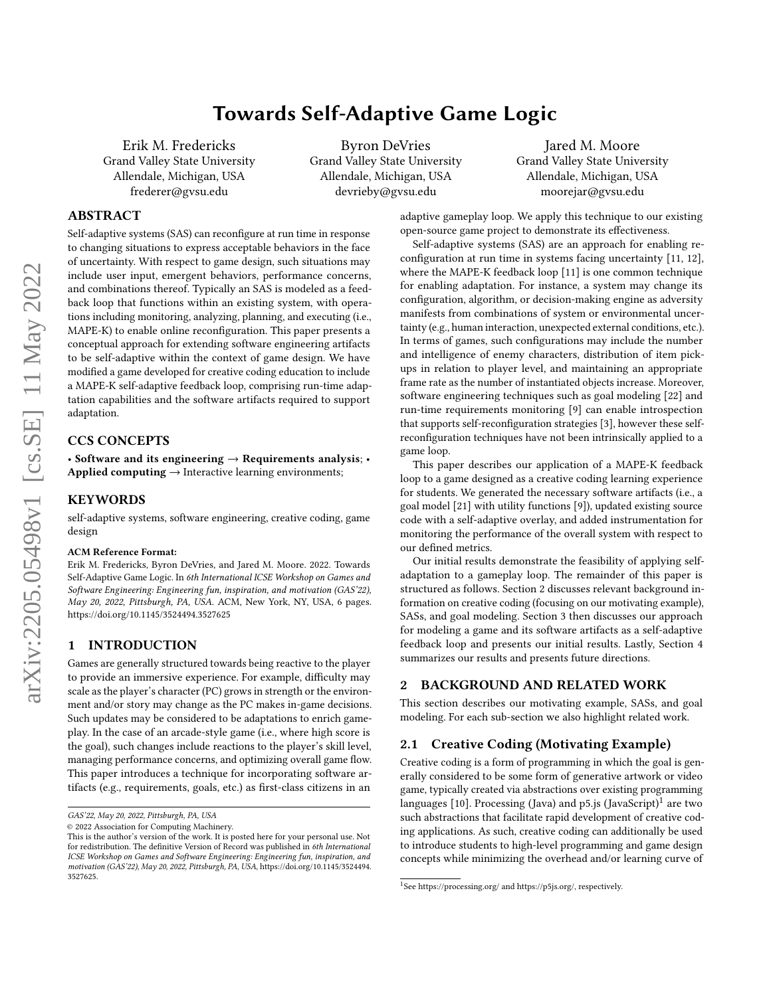# Towards Self-Adaptive Game Logic

Erik M. Fredericks Grand Valley State University Allendale, Michigan, USA frederer@gvsu.edu

Byron DeVries Grand Valley State University Allendale, Michigan, USA devrieby@gvsu.edu

Jared M. Moore Grand Valley State University Allendale, Michigan, USA moorejar@gvsu.edu

# ABSTRACT

Self-adaptive systems (SAS) can reconfigure at run time in response to changing situations to express acceptable behaviors in the face of uncertainty. With respect to game design, such situations may include user input, emergent behaviors, performance concerns, and combinations thereof. Typically an SAS is modeled as a feedback loop that functions within an existing system, with operations including monitoring, analyzing, planning, and executing (i.e., MAPE-K) to enable online reconfiguration. This paper presents a conceptual approach for extending software engineering artifacts to be self-adaptive within the context of game design. We have modified a game developed for creative coding education to include a MAPE-K self-adaptive feedback loop, comprising run-time adaptation capabilities and the software artifacts required to support adaptation.

## CCS CONCEPTS

• Software and its engineering  $\rightarrow$  Requirements analysis; • Applied computing  $\rightarrow$  Interactive learning environments;

#### **KEYWORDS**

self-adaptive systems, software engineering, creative coding, game design

#### ACM Reference Format:

Erik M. Fredericks, Byron DeVries, and Jared M. Moore. 2022. Towards Self-Adaptive Game Logic. In 6th International ICSE Workshop on Games and Software Engineering: Engineering fun, inspiration, and motivation (GAS'22), May 20, 2022, Pittsburgh, PA, USA. ACM, New York, NY, USA, [6](#page-5-0) pages. <https://doi.org/10.1145/3524494.3527625>

## 1 INTRODUCTION

Games are generally structured towards being reactive to the player to provide an immersive experience. For example, difficulty may scale as the player's character (PC) grows in strength or the environment and/or story may change as the PC makes in-game decisions. Such updates may be considered to be adaptations to enrich gameplay. In the case of an arcade-style game (i.e., where high score is the goal), such changes include reactions to the player's skill level, managing performance concerns, and optimizing overall game flow. This paper introduces a technique for incorporating software artifacts (e.g., requirements, goals, etc.) as first-class citizens in an

adaptive gameplay loop. We apply this technique to our existing open-source game project to demonstrate its effectiveness.

Self-adaptive systems (SAS) are an approach for enabling reconfiguration at run time in systems facing uncertainty [\[11,](#page-5-1) [12\]](#page-5-2), where the MAPE-K feedback loop [\[11\]](#page-5-1) is one common technique for enabling adaptation. For instance, a system may change its configuration, algorithm, or decision-making engine as adversity manifests from combinations of system or environmental uncertainty (e.g., human interaction, unexpected external conditions, etc.). In terms of games, such configurations may include the number and intelligence of enemy characters, distribution of item pickups in relation to player level, and maintaining an appropriate frame rate as the number of instantiated objects increase. Moreover, software engineering techniques such as goal modeling [\[22\]](#page-5-3) and run-time requirements monitoring [\[9\]](#page-5-4) can enable introspection that supports self-reconfiguration strategies [\[3\]](#page-5-5), however these selfreconfiguration techniques have not been intrinsically applied to a game loop.

This paper describes our application of a MAPE-K feedback loop to a game designed as a creative coding learning experience for students. We generated the necessary software artifacts (i.e., a goal model [\[21\]](#page-5-6) with utility functions [\[9\]](#page-5-4)), updated existing source code with a self-adaptive overlay, and added instrumentation for monitoring the performance of the overall system with respect to our defined metrics.

Our initial results demonstrate the feasibility of applying selfadaptation to a gameplay loop. The remainder of this paper is structured as follows. Section [2](#page-0-0) discusses relevant background information on creative coding (focusing on our motivating example), SASs, and goal modeling. Section [3](#page-3-0) then discusses our approach for modeling a game and its software artifacts as a self-adaptive feedback loop and presents our initial results. Lastly, Section [4](#page-4-0) summarizes our results and presents future directions.

## <span id="page-0-0"></span>2 BACKGROUND AND RELATED WORK

This section describes our motivating example, SASs, and goal modeling. For each sub-section we also highlight related work.

## 2.1 Creative Coding (Motivating Example)

Creative coding is a form of programming in which the goal is generally considered to be some form of generative artwork or video game, typically created via abstractions over existing programming languages [\[10\]](#page-5-7). Processing (Java) and p5.js (JavaScript) $^{1}$  $^{1}$  $^{1}$  are two such abstractions that facilitate rapid development of creative coding applications. As such, creative coding can additionally be used to introduce students to high-level programming and game design concepts while minimizing the overhead and/or learning curve of

GAS'22, May 20, 2022, Pittsburgh, PA, USA

<sup>©</sup> 2022 Association for Computing Machinery.

This is the author's version of the work. It is posted here for your personal use. Not for redistribution. The definitive Version of Record was published in 6th International ICSE Workshop on Games and Software Engineering: Engineering fun, inspiration, and motivation (GAS'22), May 20, 2022, Pittsburgh, PA, USA, [https://doi.org/10.1145/3524494.](https://doi.org/10.1145/3524494.3527625) [3527625.](https://doi.org/10.1145/3524494.3527625)

<span id="page-0-1"></span><sup>1</sup> See<https://processing.org/> and [https://p5js.org/,](https://p5js.org/) respectively.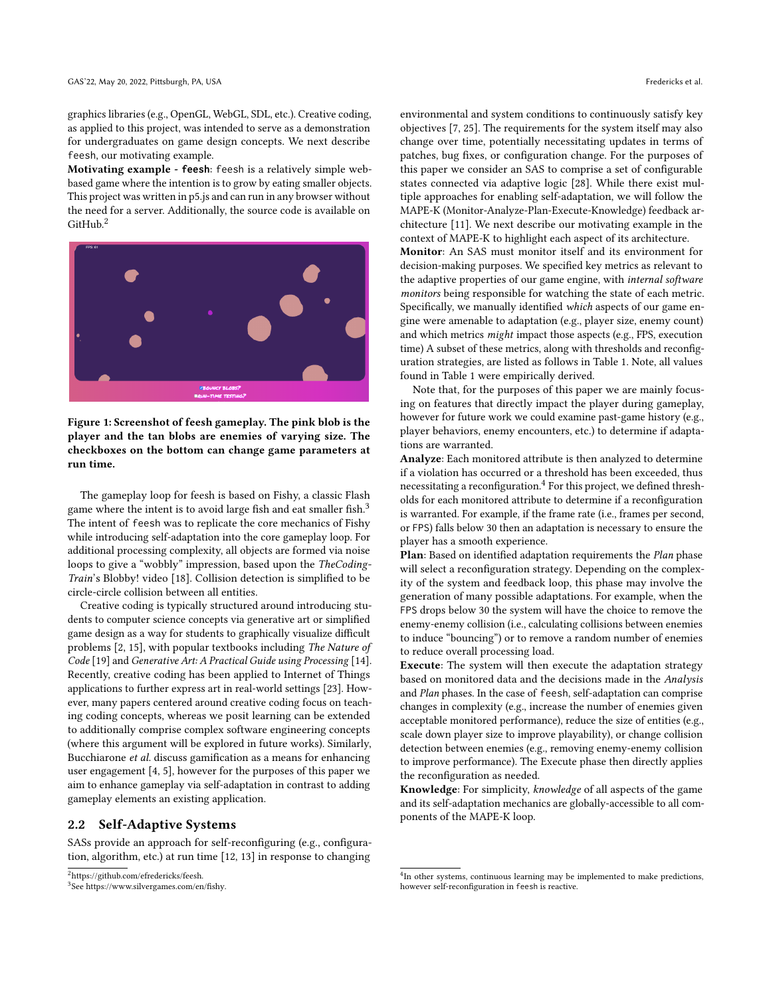graphics libraries (e.g., OpenGL, WebGL, SDL, etc.). Creative coding, as applied to this project, was intended to serve as a demonstration for undergraduates on game design concepts. We next describe feesh, our motivating example.

Motivating example - **feesh**: feesh is a relatively simple webbased game where the intention is to grow by eating smaller objects. This project was written in p5.js and can run in any browser without the need for a server. Additionally, the source code is available on GitHub.[2](#page-1-0)



Figure 1: Screenshot of feesh gameplay. The pink blob is the player and the tan blobs are enemies of varying size. The checkboxes on the bottom can change game parameters at run time.

The gameplay loop for feesh is based on Fishy, a classic Flash game where the intent is to avoid large fish and eat smaller fish.<sup>[3](#page-1-1)</sup> The intent of feesh was to replicate the core mechanics of Fishy while introducing self-adaptation into the core gameplay loop. For additional processing complexity, all objects are formed via noise loops to give a "wobbly" impression, based upon the TheCoding-Train's Blobby! video [\[18\]](#page-5-8). Collision detection is simplified to be circle-circle collision between all entities.

Creative coding is typically structured around introducing students to computer science concepts via generative art or simplified game design as a way for students to graphically visualize difficult problems [\[2,](#page-5-9) [15\]](#page-5-10), with popular textbooks including The Nature of Code [\[19\]](#page-5-11) and Generative Art: A Practical Guide using Processing [\[14\]](#page-5-12). Recently, creative coding has been applied to Internet of Things applications to further express art in real-world settings [\[23\]](#page-5-13). However, many papers centered around creative coding focus on teaching coding concepts, whereas we posit learning can be extended to additionally comprise complex software engineering concepts (where this argument will be explored in future works). Similarly, Bucchiarone et al. discuss gamification as a means for enhancing user engagement [\[4,](#page-5-14) [5\]](#page-5-15), however for the purposes of this paper we aim to enhance gameplay via self-adaptation in contrast to adding gameplay elements an existing application.

### 2.2 Self-Adaptive Systems

SASs provide an approach for self-reconfiguring (e.g., configuration, algorithm, etc.) at run time [\[12,](#page-5-2) [13\]](#page-5-16) in response to changing

environmental and system conditions to continuously satisfy key objectives [\[7,](#page-5-17) [25\]](#page-5-18). The requirements for the system itself may also change over time, potentially necessitating updates in terms of patches, bug fixes, or configuration change. For the purposes of this paper we consider an SAS to comprise a set of configurable states connected via adaptive logic [\[28\]](#page-5-19). While there exist multiple approaches for enabling self-adaptation, we will follow the MAPE-K (Monitor-Analyze-Plan-Execute-Knowledge) feedback architecture [\[11\]](#page-5-1). We next describe our motivating example in the context of MAPE-K to highlight each aspect of its architecture.

Monitor: An SAS must monitor itself and its environment for decision-making purposes. We specified key metrics as relevant to the adaptive properties of our game engine, with internal software monitors being responsible for watching the state of each metric. Specifically, we manually identified which aspects of our game engine were amenable to adaptation (e.g., player size, enemy count) and which metrics might impact those aspects (e.g., FPS, execution time) A subset of these metrics, along with thresholds and reconfiguration strategies, are listed as follows in Table [1.](#page-2-0) Note, all values found in Table [1](#page-2-0) were empirically derived.

Note that, for the purposes of this paper we are mainly focusing on features that directly impact the player during gameplay, however for future work we could examine past-game history (e.g., player behaviors, enemy encounters, etc.) to determine if adaptations are warranted.

Analyze: Each monitored attribute is then analyzed to determine if a violation has occurred or a threshold has been exceeded, thus necessitating a reconfiguration. $4$  For this project, we defined thresholds for each monitored attribute to determine if a reconfiguration is warranted. For example, if the frame rate (i.e., frames per second, or FPS) falls below 30 then an adaptation is necessary to ensure the player has a smooth experience.

Plan: Based on identified adaptation requirements the Plan phase will select a reconfiguration strategy. Depending on the complexity of the system and feedback loop, this phase may involve the generation of many possible adaptations. For example, when the FPS drops below 30 the system will have the choice to remove the enemy-enemy collision (i.e., calculating collisions between enemies to induce "bouncing") or to remove a random number of enemies to reduce overall processing load.

Execute: The system will then execute the adaptation strategy based on monitored data and the decisions made in the Analysis and Plan phases. In the case of feesh, self-adaptation can comprise changes in complexity (e.g., increase the number of enemies given acceptable monitored performance), reduce the size of entities (e.g., scale down player size to improve playability), or change collision detection between enemies (e.g., removing enemy-enemy collision to improve performance). The Execute phase then directly applies the reconfiguration as needed.

Knowledge: For simplicity, knowledge of all aspects of the game and its self-adaptation mechanics are globally-accessible to all components of the MAPE-K loop.

<span id="page-1-0"></span><sup>2</sup>[https://github.com/efredericks/feesh.](https://github.com/efredericks/feesh)

<span id="page-1-1"></span><sup>3</sup> See [https://www.silvergames.com/en/fishy.](https://www.silvergames.com/en/fishy)

<span id="page-1-2"></span><sup>&</sup>lt;sup>4</sup>In other systems, continuous learning may be implemented to make predictions, however self-reconfiguration in feesh is reactive.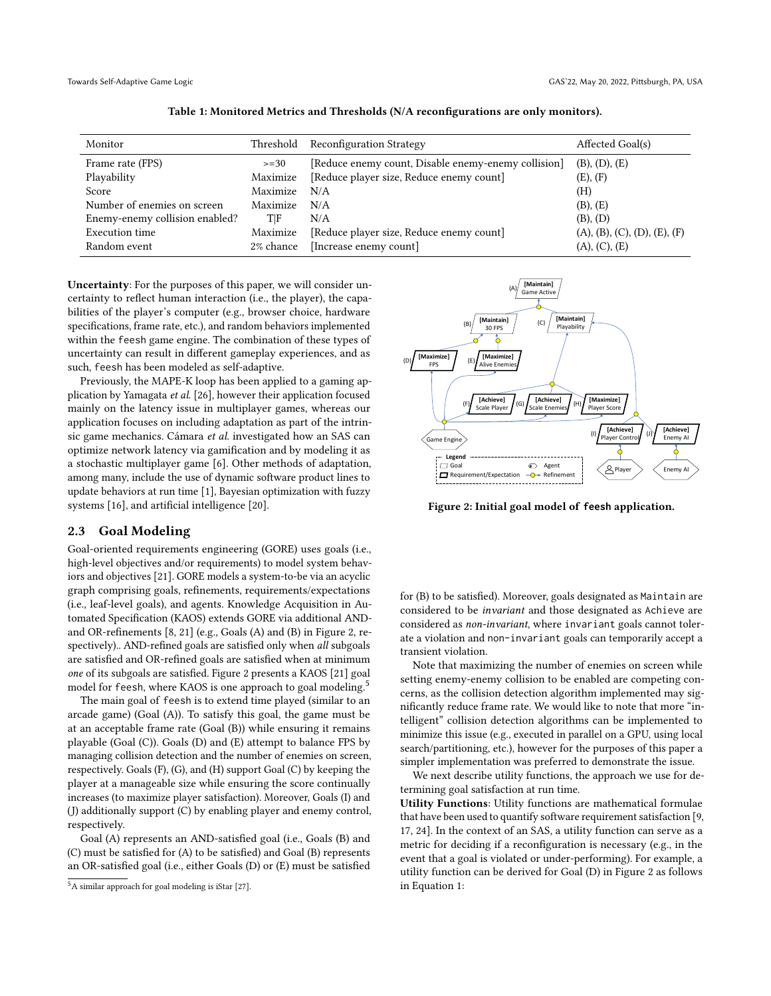<span id="page-2-0"></span>

| Monitor                        | Threshold | <b>Reconfiguration Strategy</b>                     | Affected Goal(s)             |
|--------------------------------|-----------|-----------------------------------------------------|------------------------------|
| Frame rate (FPS)               | $>=30$    | [Reduce enemy count, Disable enemy-enemy collision] | (B), (D), (E)                |
| Playability                    | Maximize  | [Reduce player size, Reduce enemy count]            | (E), (F)                     |
| Score                          | Maximize  | N/A                                                 | (H)                          |
| Number of enemies on screen    | Maximize  | N/A                                                 | (B), (E)                     |
| Enemy-enemy collision enabled? | TIF       | N/A                                                 | (B), (D)                     |
| Execution time                 | Maximize  | [Reduce player size, Reduce enemy count]            | (A), (B), (C), (D), (E), (F) |
| Random event                   | 2% chance | [Increase enemy count]                              | (A), (C), (E)                |

Table 1: Monitored Metrics and Thresholds (N/A reconfigurations are only monitors).

Uncertainty: For the purposes of this paper, we will consider uncertainty to reflect human interaction (i.e., the player), the capabilities of the player's computer (e.g., browser choice, hardware specifications, frame rate, etc.), and random behaviors implemented within the feesh game engine. The combination of these types of uncertainty can result in different gameplay experiences, and as such, feesh has been modeled as self-adaptive.

Previously, the MAPE-K loop has been applied to a gaming application by Yamagata et al. [\[26\]](#page-5-20), however their application focused mainly on the latency issue in multiplayer games, whereas our application focuses on including adaptation as part of the intrinsic game mechanics. Cámara et al. investigated how an SAS can optimize network latency via gamification and by modeling it as a stochastic multiplayer game [\[6\]](#page-5-21). Other methods of adaptation, among many, include the use of dynamic software product lines to update behaviors at run time [\[1\]](#page-5-22), Bayesian optimization with fuzzy systems [\[16\]](#page-5-23), and artificial intelligence [\[20\]](#page-5-24).

### 2.3 Goal Modeling

Goal-oriented requirements engineering (GORE) uses goals (i.e., high-level objectives and/or requirements) to model system behaviors and objectives [\[21\]](#page-5-6). GORE models a system-to-be via an acyclic graph comprising goals, refinements, requirements/expectations (i.e., leaf-level goals), and agents. Knowledge Acquisition in Automated Specification (KAOS) extends GORE via additional ANDand OR-refinements [\[8,](#page-5-25) [21\]](#page-5-6) (e.g., Goals (A) and (B) in Figure [2,](#page-2-1) respectively).. AND-refined goals are satisfied only when all subgoals are satisfied and OR-refined goals are satisfied when at minimum one of its subgoals are satisfied. Figure [2](#page-2-1) presents a KAOS [\[21\]](#page-5-6) goal model for feesh, where KAOS is one approach to goal modeling.<sup>[5](#page-2-2)</sup>

The main goal of feesh is to extend time played (similar to an arcade game) (Goal (A)). To satisfy this goal, the game must be at an acceptable frame rate (Goal (B)) while ensuring it remains playable (Goal (C)). Goals (D) and (E) attempt to balance FPS by managing collision detection and the number of enemies on screen, respectively. Goals (F), (G), and (H) support Goal (C) by keeping the player at a manageable size while ensuring the score continually increases (to maximize player satisfaction). Moreover, Goals (I) and (J) additionally support (C) by enabling player and enemy control, respectively.

Goal (A) represents an AND-satisfied goal (i.e., Goals (B) and (C) must be satisfied for (A) to be satisfied) and Goal (B) represents an OR-satisfied goal (i.e., either Goals (D) or (E) must be satisfied

<span id="page-2-1"></span>

Figure 2: Initial goal model of **feesh** application.

for (B) to be satisfied). Moreover, goals designated as Maintain are considered to be invariant and those designated as Achieve are considered as non-invariant, where invariant goals cannot tolerate a violation and non-invariant goals can temporarily accept a transient violation.

Note that maximizing the number of enemies on screen while setting enemy-enemy collision to be enabled are competing concerns, as the collision detection algorithm implemented may significantly reduce frame rate. We would like to note that more "intelligent" collision detection algorithms can be implemented to minimize this issue (e.g., executed in parallel on a GPU, using local search/partitioning, etc.), however for the purposes of this paper a simpler implementation was preferred to demonstrate the issue.

We next describe utility functions, the approach we use for determining goal satisfaction at run time.

Utility Functions: Utility functions are mathematical formulae that have been used to quantify software requirement satisfaction [\[9,](#page-5-4) [17,](#page-5-27) [24\]](#page-5-28). In the context of an SAS, a utility function can serve as a metric for deciding if a reconfiguration is necessary (e.g., in the event that a goal is violated or under-performing). For example, a utility function can be derived for Goal (D) in Figure [2](#page-2-1) as follows in Equation [1:](#page-3-1)

<span id="page-2-2"></span><sup>5</sup>A similar approach for goal modeling is iStar [\[27\]](#page-5-26).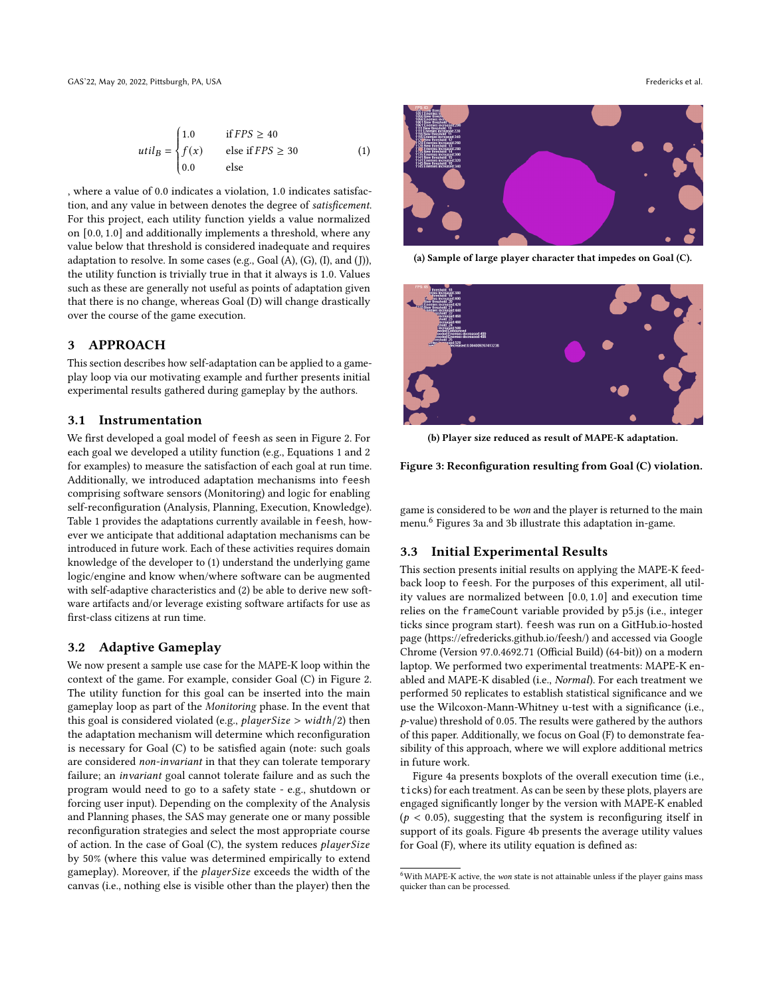Ĩ,

<span id="page-3-1"></span>
$$
util_B = \begin{cases} 1.0 & \text{if } FPS \ge 40 \\ f(x) & \text{else if } FPS \ge 30 \\ 0.0 & \text{else} \end{cases}
$$
 (1)

, where a value of 0.0 indicates a violation, 1.0 indicates satisfaction, and any value in between denotes the degree of satisficement. For this project, each utility function yields a value normalized on [0.0, 1.0] and additionally implements a threshold, where any value below that threshold is considered inadequate and requires adaptation to resolve. In some cases (e.g., Goal (A), (G), (I), and (J)), the utility function is trivially true in that it always is 1.0. Values such as these are generally not useful as points of adaptation given that there is no change, whereas Goal (D) will change drastically over the course of the game execution.

## <span id="page-3-0"></span>3 APPROACH

This section describes how self-adaptation can be applied to a gameplay loop via our motivating example and further presents initial experimental results gathered during gameplay by the authors.

### 3.1 Instrumentation

We first developed a goal model of feesh as seen in Figure [2.](#page-2-1) For each goal we developed a utility function (e.g., Equations [1](#page-3-1) and [2](#page-4-1) for examples) to measure the satisfaction of each goal at run time. Additionally, we introduced adaptation mechanisms into feesh comprising software sensors (Monitoring) and logic for enabling self-reconfiguration (Analysis, Planning, Execution, Knowledge). Table [1](#page-2-0) provides the adaptations currently available in feesh, however we anticipate that additional adaptation mechanisms can be introduced in future work. Each of these activities requires domain knowledge of the developer to (1) understand the underlying game logic/engine and know when/where software can be augmented with self-adaptive characteristics and (2) be able to derive new software artifacts and/or leverage existing software artifacts for use as first-class citizens at run time.

## 3.2 Adaptive Gameplay

We now present a sample use case for the MAPE-K loop within the context of the game. For example, consider Goal (C) in Figure [2.](#page-2-1) The utility function for this goal can be inserted into the main gameplay loop as part of the Monitoring phase. In the event that this goal is considered violated (e.g.,  $playerSize > width/2$ ) then the adaptation mechanism will determine which reconfiguration is necessary for Goal (C) to be satisfied again (note: such goals are considered non-invariant in that they can tolerate temporary failure; an invariant goal cannot tolerate failure and as such the program would need to go to a safety state - e.g., shutdown or forcing user input). Depending on the complexity of the Analysis and Planning phases, the SAS may generate one or many possible reconfiguration strategies and select the most appropriate course of action. In the case of Goal (C), the system reduces playerSize by 50% (where this value was determined empirically to extend gameplay). Moreover, if the *playerSize* exceeds the width of the canvas (i.e., nothing else is visible other than the player) then the

<span id="page-3-3"></span>

(a) Sample of large player character that impedes on Goal (C).



(b) Player size reduced as result of MAPE-K adaptation.

Figure 3: Reconfiguration resulting from Goal (C) violation.

game is considered to be won and the player is returned to the main menu.<sup>[6](#page-3-2)</sup> Figures [3a](#page-3-3) and [3b](#page-3-3) illustrate this adaptation in-game.

## 3.3 Initial Experimental Results

This section presents initial results on applying the MAPE-K feedback loop to feesh. For the purposes of this experiment, all utility values are normalized between [0.0, 1.0] and execution time relies on the frameCount variable provided by p5.js (i.e., integer ticks since program start). feesh was run on a GitHub.io-hosted page [\(https://efredericks.github.io/feesh/\)](https://efredericks.github.io/feesh/) and accessed via Google Chrome (Version 97.0.4692.71 (Official Build) (64-bit)) on a modern laptop. We performed two experimental treatments: MAPE-K enabled and MAPE-K disabled (i.e., Normal). For each treatment we performed 50 replicates to establish statistical significance and we use the Wilcoxon-Mann-Whitney u-test with a significance (i.e., p-value) threshold of 0.05. The results were gathered by the authors of this paper. Additionally, we focus on Goal (F) to demonstrate feasibility of this approach, where we will explore additional metrics in future work.

Figure [4a](#page-4-2) presents boxplots of the overall execution time (i.e., ticks) for each treatment. As can be seen by these plots, players are engaged significantly longer by the version with MAPE-K enabled  $(p < 0.05)$ , suggesting that the system is reconfiguring itself in support of its goals. Figure [4b](#page-4-2) presents the average utility values for Goal (F), where its utility equation is defined as:

<span id="page-3-2"></span> $^6\rm{With}$  MAPE-K active, the  $won$  state is not attainable unless if the player gains mass quicker than can be processed.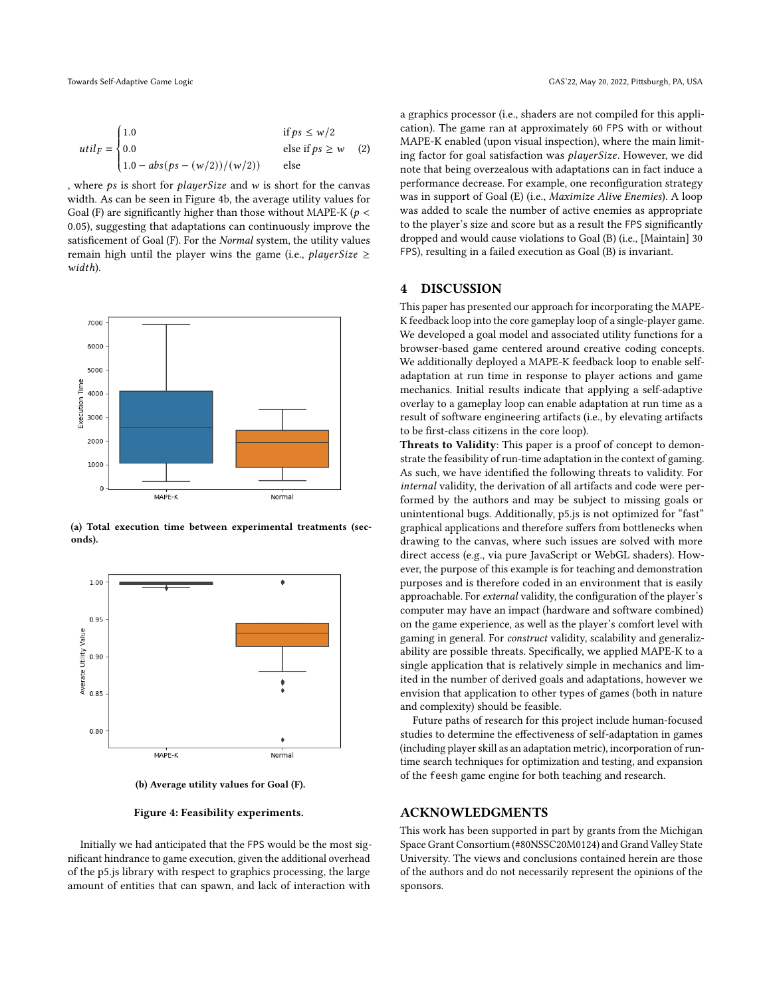<span id="page-4-1"></span>
$$
util_F = \begin{cases} 1.0 & \text{if } ps \le w/2\\ 0.0 & \text{else if } ps \ge w\\ 1.0 - abs(ps - (w/2))/(w/2)) & \text{else} \end{cases} \tag{2}
$$

, where  $ps$  is short for *player Size* and  $w$  is short for the canvas width. As can be seen in Figure [4b,](#page-4-2) the average utility values for Goal (F) are significantly higher than those without MAPE-K ( $p <$ 0.05), suggesting that adaptations can continuously improve the satisficement of Goal (F). For the Normal system, the utility values remain high until the player wins the game (i.e., *playerSize*  $\geq$ width).

<span id="page-4-2"></span>

(a) Total execution time between experimental treatments (seconds).



(b) Average utility values for Goal (F).

#### Figure 4: Feasibility experiments.

Initially we had anticipated that the FPS would be the most significant hindrance to game execution, given the additional overhead of the p5.js library with respect to graphics processing, the large amount of entities that can spawn, and lack of interaction with

a graphics processor (i.e., shaders are not compiled for this application). The game ran at approximately 60 FPS with or without MAPE-K enabled (upon visual inspection), where the main limiting factor for goal satisfaction was *playerSize*. However, we did note that being overzealous with adaptations can in fact induce a performance decrease. For example, one reconfiguration strategy was in support of Goal (E) (i.e., Maximize Alive Enemies). A loop was added to scale the number of active enemies as appropriate to the player's size and score but as a result the FPS significantly dropped and would cause violations to Goal (B) (i.e., [Maintain] 30 FPS), resulting in a failed execution as Goal (B) is invariant.

### <span id="page-4-0"></span>4 DISCUSSION

This paper has presented our approach for incorporating the MAPE-K feedback loop into the core gameplay loop of a single-player game. We developed a goal model and associated utility functions for a browser-based game centered around creative coding concepts. We additionally deployed a MAPE-K feedback loop to enable selfadaptation at run time in response to player actions and game mechanics. Initial results indicate that applying a self-adaptive overlay to a gameplay loop can enable adaptation at run time as a result of software engineering artifacts (i.e., by elevating artifacts to be first-class citizens in the core loop).

Threats to Validity: This paper is a proof of concept to demonstrate the feasibility of run-time adaptation in the context of gaming. As such, we have identified the following threats to validity. For internal validity, the derivation of all artifacts and code were performed by the authors and may be subject to missing goals or unintentional bugs. Additionally, p5.js is not optimized for "fast" graphical applications and therefore suffers from bottlenecks when drawing to the canvas, where such issues are solved with more direct access (e.g., via pure JavaScript or WebGL shaders). However, the purpose of this example is for teaching and demonstration purposes and is therefore coded in an environment that is easily approachable. For external validity, the configuration of the player's computer may have an impact (hardware and software combined) on the game experience, as well as the player's comfort level with gaming in general. For construct validity, scalability and generalizability are possible threats. Specifically, we applied MAPE-K to a single application that is relatively simple in mechanics and limited in the number of derived goals and adaptations, however we envision that application to other types of games (both in nature and complexity) should be feasible.

Future paths of research for this project include human-focused studies to determine the effectiveness of self-adaptation in games (including player skill as an adaptation metric), incorporation of runtime search techniques for optimization and testing, and expansion of the feesh game engine for both teaching and research.

## ACKNOWLEDGMENTS

This work has been supported in part by grants from the Michigan Space Grant Consortium (#80NSSC20M0124) and Grand Valley State University. The views and conclusions contained herein are those of the authors and do not necessarily represent the opinions of the sponsors.